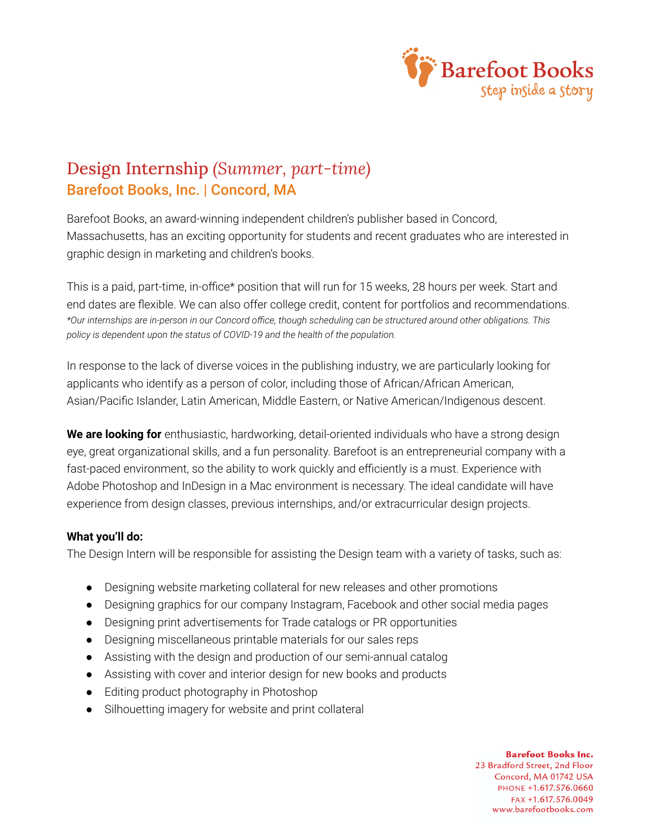

## Design Internship *(Summer, part-time)* Barefoot Books, Inc. | Concord, MA

Barefoot Books, an award-winning independent children's publisher based in Concord, Massachusetts, has an exciting opportunity for students and recent graduates who are interested in graphic design in marketing and children's books.

This is a paid, part-time, in-office\* position that will run for 15 weeks, 28 hours per week. Start and end dates are flexible. We can also offer college credit, content for portfolios and recommendations. *\*Our internships are in-person in our Concord office, though scheduling can be structured around other obligations. This policy is dependent upon the status of COVID-19 and the health of the population.*

In response to the lack of diverse voices in the publishing industry, we are particularly looking for applicants who identify as a person of color, including those of African/African American, Asian/Pacific Islander, Latin American, Middle Eastern, or Native American/Indigenous descent.

**We are looking for** enthusiastic, hardworking, detail-oriented individuals who have a strong design eye, great organizational skills, and a fun personality. Barefoot is an entrepreneurial company with a fast-paced environment, so the ability to work quickly and efficiently is a must. Experience with Adobe Photoshop and InDesign in a Mac environment is necessary. The ideal candidate will have experience from design classes, previous internships, and/or extracurricular design projects.

## **What you'll do:**

The Design Intern will be responsible for assisting the Design team with a variety of tasks, such as:

- Designing website marketing collateral for new releases and other promotions
- Designing graphics for our company Instagram, Facebook and other social media pages
- Designing print advertisements for Trade catalogs or PR opportunities
- Designing miscellaneous printable materials for our sales reps
- Assisting with the design and production of our semi-annual catalog
- Assisting with cover and interior design for new books and products
- Editing product photography in Photoshop
- Silhouetting imagery for website and print collateral

**Barefoot Books Inc.** 23 Bradford Street, 2nd Floor Concord, MA 01742 USA PHONE +1.617.576.0660 FAX +1.617.576.0049 www.barefootbooks.com